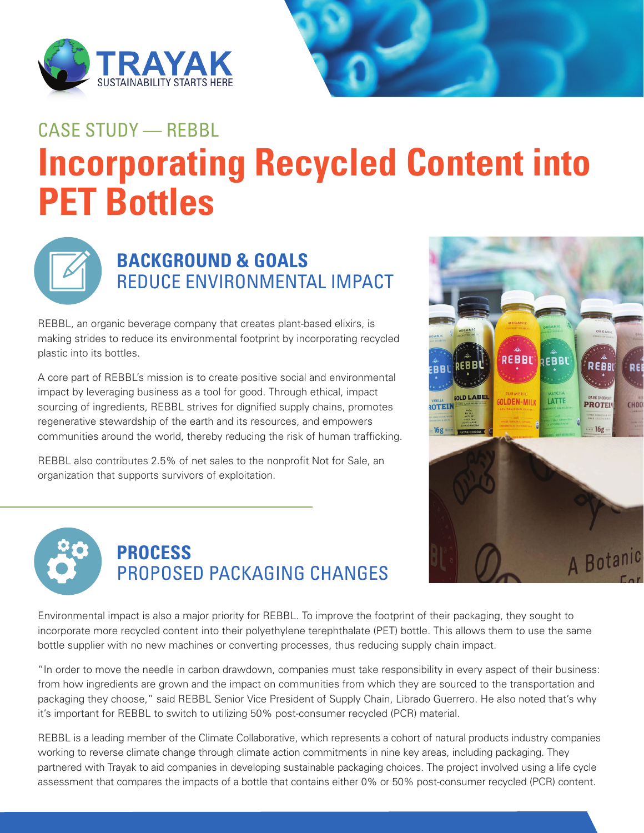



# **Incorporating Recycled Content into PET Bottles**  CASE STUDY — REBBL



### **BACKGROUND & GOALS** REDUCE ENVIRONMENTAL IMPACT

REBBL, an organic beverage company that creates plant-based elixirs, is making strides to reduce its environmental footprint by incorporating recycled plastic into its bottles.

A core part of REBBL's mission is to create positive social and environmental impact by leveraging business as a tool for good. Through ethical, impact sourcing of ingredients, REBBL strives for dignified supply chains, promotes regenerative stewardship of the earth and its resources, and empowers communities around the world, thereby reducing the risk of human trafficking.

REBBL also contributes 2.5% of net sales to the nonprofit Not for Sale, an organization that supports survivors of exploitation.





### **PROCESS** PROPOSED PACKAGING CHANGES

Environmental impact is also a major priority for REBBL. To improve the footprint of their packaging, they sought to incorporate more recycled content into their polyethylene terephthalate (PET) bottle. This allows them to use the same bottle supplier with no new machines or converting processes, thus reducing supply chain impact.

"In order to move the needle in carbon drawdown, companies must take responsibility in every aspect of their business: from how ingredients are grown and the impact on communities from which they are sourced to the transportation and packaging they choose," said REBBL Senior Vice President of Supply Chain, Librado Guerrero. He also noted that's why it's important for REBBL to switch to utilizing 50% post-consumer recycled (PCR) material.

REBBL is a leading member of the Climate Collaborative, which represents a cohort of natural products industry companies working to reverse climate change through climate action commitments in nine key areas, including packaging. They partnered with Trayak to aid companies in developing sustainable packaging choices. The project involved using a life cycle assessment that compares the impacts of a bottle that contains either 0% or 50% post-consumer recycled (PCR) content.